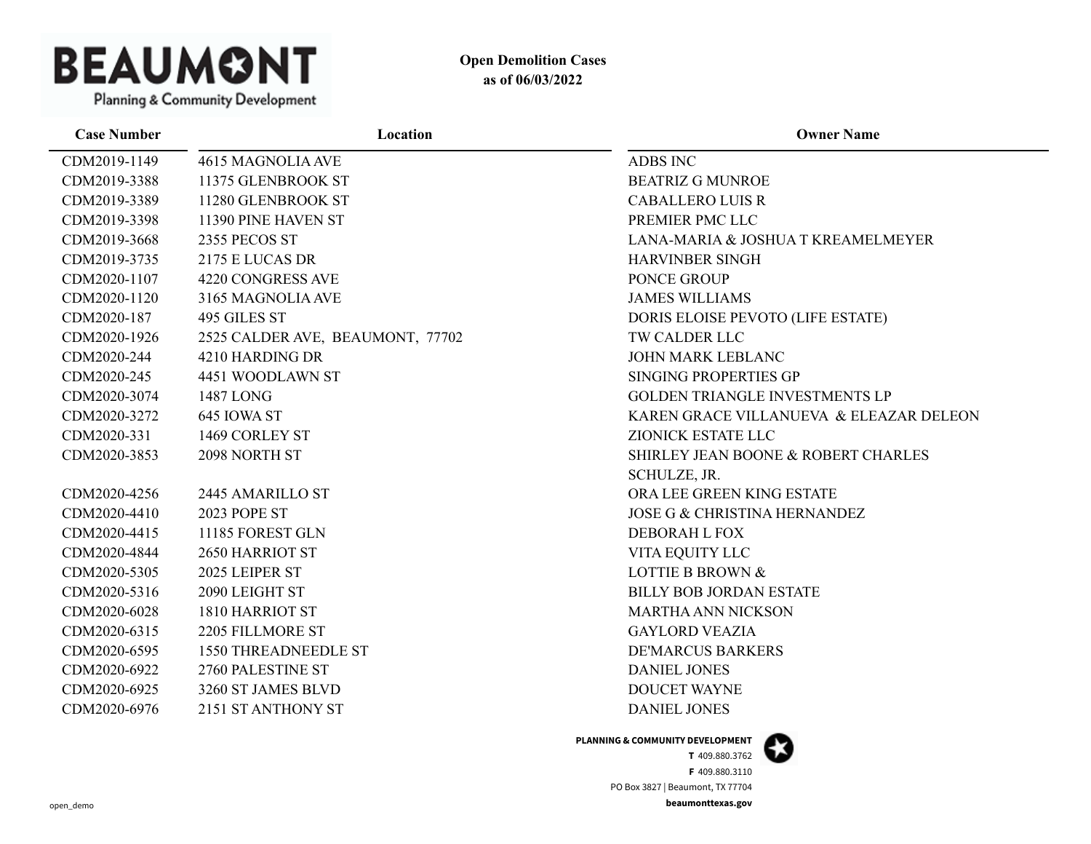

| <b>Case Number</b> | Location                         | <b>Owner Name</b>                       |
|--------------------|----------------------------------|-----------------------------------------|
| CDM2019-1149       | 4615 MAGNOLIA AVE                | ADBS INC                                |
| CDM2019-3388       | 11375 GLENBROOK ST               | <b>BEATRIZ G MUNROE</b>                 |
| CDM2019-3389       | 11280 GLENBROOK ST               | <b>CABALLERO LUIS R</b>                 |
| CDM2019-3398       | 11390 PINE HAVEN ST              | PREMIER PMC LLC                         |
| CDM2019-3668       | 2355 PECOS ST                    | LANA-MARIA & JOSHUA T KREAMELMEYER      |
| CDM2019-3735       | 2175 E LUCAS DR                  | <b>HARVINBER SINGH</b>                  |
| CDM2020-1107       | 4220 CONGRESS AVE                | PONCE GROUP                             |
| CDM2020-1120       | 3165 MAGNOLIA AVE                | <b>JAMES WILLIAMS</b>                   |
| CDM2020-187        | 495 GILES ST                     | DORIS ELOISE PEVOTO (LIFE ESTATE)       |
| CDM2020-1926       | 2525 CALDER AVE, BEAUMONT, 77702 | TW CALDER LLC                           |
| CDM2020-244        | 4210 HARDING DR                  | JOHN MARK LEBLANC                       |
| CDM2020-245        | 4451 WOODLAWN ST                 | SINGING PROPERTIES GP                   |
| CDM2020-3074       | 1487 LONG                        | GOLDEN TRIANGLE INVESTMENTS LP          |
| CDM2020-3272       | 645 IOWA ST                      | KAREN GRACE VILLANUEVA & ELEAZAR DELEON |
| CDM2020-331        | 1469 CORLEY ST                   | ZIONICK ESTATE LLC                      |
| CDM2020-3853       | 2098 NORTH ST                    | SHIRLEY JEAN BOONE & ROBERT CHARLES     |
|                    |                                  | SCHULZE, JR.                            |
| CDM2020-4256       | 2445 AMARILLO ST                 | ORA LEE GREEN KING ESTATE               |
| CDM2020-4410       | 2023 POPE ST                     | <b>JOSE G &amp; CHRISTINA HERNANDEZ</b> |
| CDM2020-4415       | 11185 FOREST GLN                 | DEBORAH L FOX                           |
| CDM2020-4844       | 2650 HARRIOT ST                  | VITA EQUITY LLC                         |
| CDM2020-5305       | 2025 LEIPER ST                   | <b>LOTTIE B BROWN &amp;</b>             |
| CDM2020-5316       | 2090 LEIGHT ST                   | <b>BILLY BOB JORDAN ESTATE</b>          |
| CDM2020-6028       | 1810 HARRIOT ST                  | <b>MARTHA ANN NICKSON</b>               |
| CDM2020-6315       | 2205 FILLMORE ST                 | <b>GAYLORD VEAZIA</b>                   |
| CDM2020-6595       | <b>1550 THREADNEEDLE ST</b>      | <b>DE'MARCUS BARKERS</b>                |
| CDM2020-6922       | 2760 PALESTINE ST                | <b>DANIEL JONES</b>                     |
| CDM2020-6925       | 3260 ST JAMES BLVD               | <b>DOUCET WAYNE</b>                     |
| CDM2020-6976       | 2151 ST ANTHONY ST               | <b>DANIEL JONES</b>                     |

#### **PLANNING & COMMUNITY DEVELOPMENT**

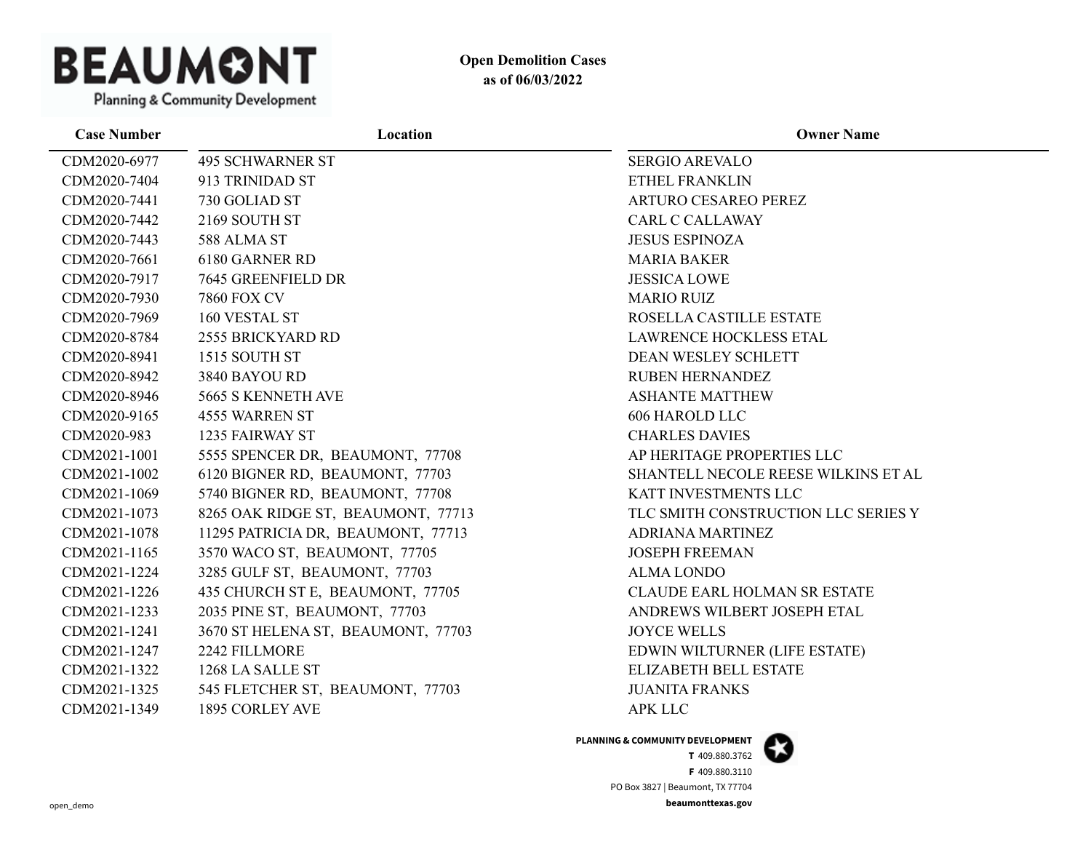

| <b>Case Number</b> | Location                           | <b>Owner Name</b>                   |
|--------------------|------------------------------------|-------------------------------------|
| CDM2020-6977       | <b>495 SCHWARNER ST</b>            | <b>SERGIO AREVALO</b>               |
| CDM2020-7404       | 913 TRINIDAD ST                    | ETHEL FRANKLIN                      |
| CDM2020-7441       | 730 GOLIAD ST                      | <b>ARTURO CESAREO PEREZ</b>         |
| CDM2020-7442       | 2169 SOUTH ST                      | <b>CARL C CALLAWAY</b>              |
| CDM2020-7443       | 588 ALMA ST                        | <b>JESUS ESPINOZA</b>               |
| CDM2020-7661       | 6180 GARNER RD                     | <b>MARIA BAKER</b>                  |
| CDM2020-7917       | 7645 GREENFIELD DR                 | <b>JESSICA LOWE</b>                 |
| CDM2020-7930       | <b>7860 FOX CV</b>                 | <b>MARIO RUIZ</b>                   |
| CDM2020-7969       | 160 VESTAL ST                      | ROSELLA CASTILLE ESTATE             |
| CDM2020-8784       | 2555 BRICKYARD RD                  | <b>LAWRENCE HOCKLESS ETAL</b>       |
| CDM2020-8941       | 1515 SOUTH ST                      | <b>DEAN WESLEY SCHLETT</b>          |
| CDM2020-8942       | 3840 BAYOU RD                      | <b>RUBEN HERNANDEZ</b>              |
| CDM2020-8946       | 5665 S KENNETH AVE                 | <b>ASHANTE MATTHEW</b>              |
| CDM2020-9165       | 4555 WARREN ST                     | 606 HAROLD LLC                      |
| CDM2020-983        | 1235 FAIRWAY ST                    | <b>CHARLES DAVIES</b>               |
| CDM2021-1001       | 5555 SPENCER DR, BEAUMONT, 77708   | AP HERITAGE PROPERTIES LLC          |
| CDM2021-1002       | 6120 BIGNER RD, BEAUMONT, 77703    | SHANTELL NECOLE REESE WILKINS ET AL |
| CDM2021-1069       | 5740 BIGNER RD, BEAUMONT, 77708    | KATT INVESTMENTS LLC                |
| CDM2021-1073       | 8265 OAK RIDGE ST, BEAUMONT, 77713 | TLC SMITH CONSTRUCTION LLC SERIES Y |
| CDM2021-1078       | 11295 PATRICIA DR, BEAUMONT, 77713 | ADRIANA MARTINEZ                    |
| CDM2021-1165       | 3570 WACO ST, BEAUMONT, 77705      | <b>JOSEPH FREEMAN</b>               |
| CDM2021-1224       | 3285 GULF ST, BEAUMONT, 77703      | <b>ALMA LONDO</b>                   |
| CDM2021-1226       | 435 CHURCH ST E, BEAUMONT, 77705   | <b>CLAUDE EARL HOLMAN SR ESTATE</b> |
| CDM2021-1233       | 2035 PINE ST, BEAUMONT, 77703      | ANDREWS WILBERT JOSEPH ETAL         |
| CDM2021-1241       | 3670 ST HELENA ST, BEAUMONT, 77703 | <b>JOYCE WELLS</b>                  |
| CDM2021-1247       | 2242 FILLMORE                      | EDWIN WILTURNER (LIFE ESTATE)       |
| CDM2021-1322       | 1268 LA SALLE ST                   | ELIZABETH BELL ESTATE               |
| CDM2021-1325       | 545 FLETCHER ST, BEAUMONT, 77703   | <b>JUANITA FRANKS</b>               |
| CDM2021-1349       | 1895 CORLEY AVE                    | <b>APK LLC</b>                      |

**PLANNING & COMMUNITY DEVELOPMENT**

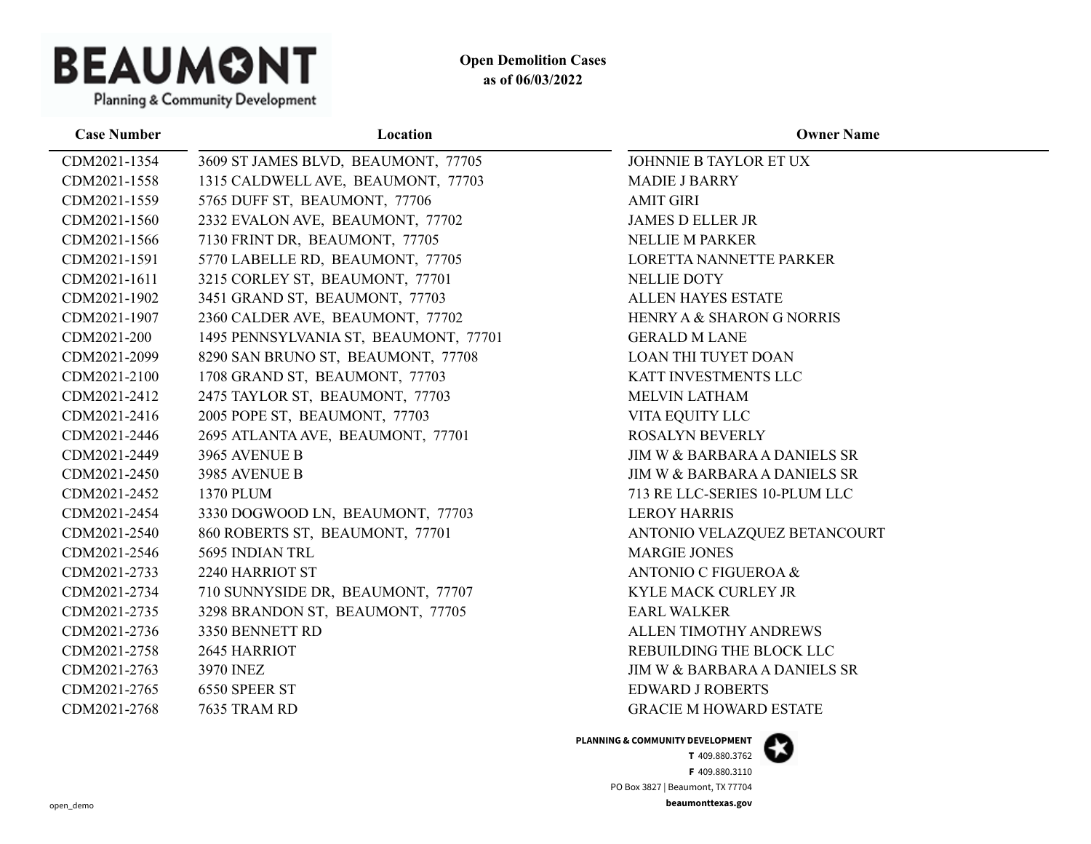

Planning & Community Development

| Location                              | <b>Owner Name</b>                       |
|---------------------------------------|-----------------------------------------|
| 3609 ST JAMES BLVD, BEAUMONT, 77705   | JOHNNIE B TAYLOR ET UX                  |
| 1315 CALDWELL AVE, BEAUMONT, 77703    | <b>MADIE J BARRY</b>                    |
| 5765 DUFF ST, BEAUMONT, 77706         | <b>AMIT GIRI</b>                        |
| 2332 EVALON AVE, BEAUMONT, 77702      | <b>JAMES D ELLER JR</b>                 |
| 7130 FRINT DR, BEAUMONT, 77705        | <b>NELLIE M PARKER</b>                  |
| 5770 LABELLE RD, BEAUMONT, 77705      | LORETTA NANNETTE PARKER                 |
| 3215 CORLEY ST, BEAUMONT, 77701       | <b>NELLIE DOTY</b>                      |
| 3451 GRAND ST, BEAUMONT, 77703        | ALLEN HAYES ESTATE                      |
| 2360 CALDER AVE, BEAUMONT, 77702      | HENRY A & SHARON G NORRIS               |
| 1495 PENNSYLVANIA ST, BEAUMONT, 77701 | <b>GERALD M LANE</b>                    |
| 8290 SAN BRUNO ST, BEAUMONT, 77708    | <b>LOAN THI TUYET DOAN</b>              |
| 1708 GRAND ST, BEAUMONT, 77703        | KATT INVESTMENTS LLC                    |
| 2475 TAYLOR ST, BEAUMONT, 77703       | <b>MELVIN LATHAM</b>                    |
| 2005 POPE ST, BEAUMONT, 77703         | VITA EQUITY LLC                         |
| 2695 ATLANTA AVE, BEAUMONT, 77701     | <b>ROSALYN BEVERLY</b>                  |
| 3965 AVENUE B                         | <b>JIM W &amp; BARBARA A DANIELS SR</b> |
| 3985 AVENUE B                         | JIM W & BARBARA A DANIELS SR            |
| 1370 PLUM                             | 713 RE LLC-SERIES 10-PLUM LLC           |
| 3330 DOGWOOD LN, BEAUMONT, 77703      | <b>LEROY HARRIS</b>                     |
| 860 ROBERTS ST, BEAUMONT, 77701       | ANTONIO VELAZQUEZ BETANCOURT            |
| 5695 INDIAN TRL                       | <b>MARGIE JONES</b>                     |
| 2240 HARRIOT ST                       | ANTONIO C FIGUEROA &                    |
| 710 SUNNYSIDE DR, BEAUMONT, 77707     | KYLE MACK CURLEY JR                     |
| 3298 BRANDON ST, BEAUMONT, 77705      | <b>EARL WALKER</b>                      |
| 3350 BENNETT RD                       | ALLEN TIMOTHY ANDREWS                   |
| 2645 HARRIOT                          | REBUILDING THE BLOCK LLC                |
| <b>3970 INEZ</b>                      | JIM W & BARBARA A DANIELS SR            |
| 6550 SPEER ST                         | <b>EDWARD J ROBERTS</b>                 |
| 7635 TRAM RD                          | <b>GRACIE M HOWARD ESTATE</b>           |
|                                       |                                         |

**PLANNING & COMMUNITY DEVELOPMENT**

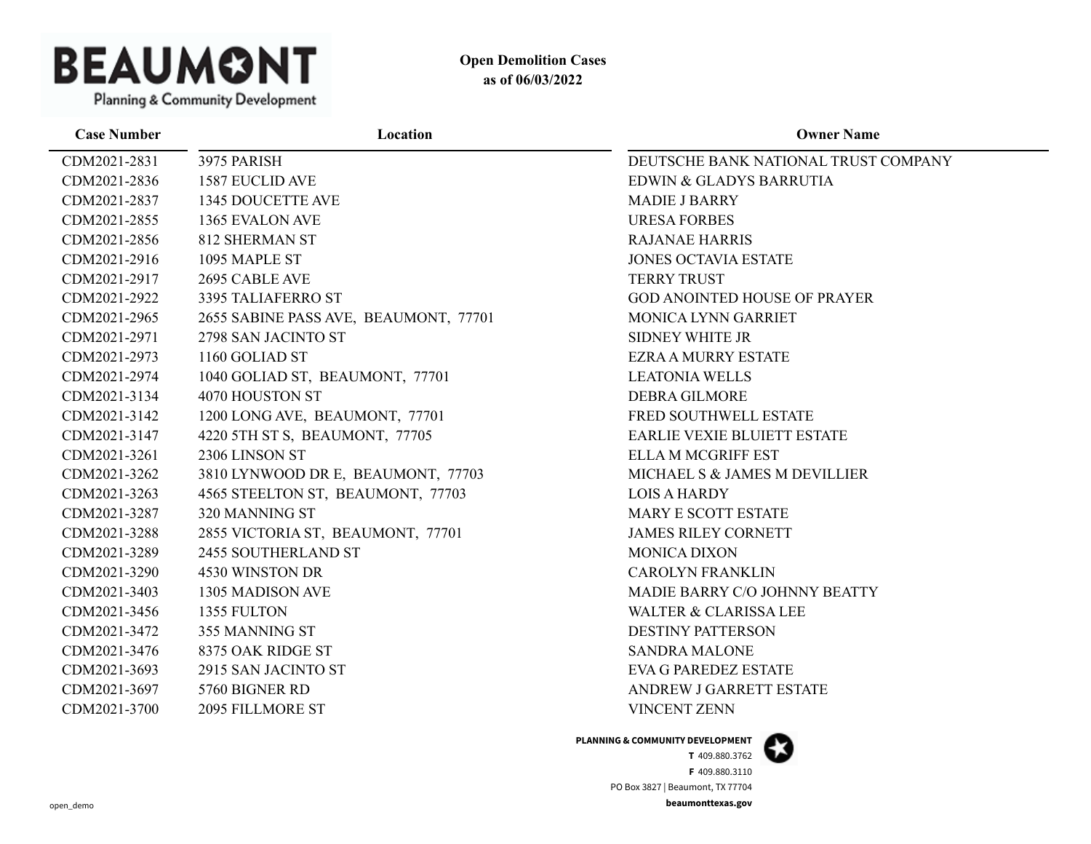

| Location                              | <b>Owner Name</b>                    |
|---------------------------------------|--------------------------------------|
| 3975 PARISH                           | DEUTSCHE BANK NATIONAL TRUST COMPANY |
| <b>1587 EUCLID AVE</b>                | EDWIN & GLADYS BARRUTIA              |
| 1345 DOUCETTE AVE                     | <b>MADIE J BARRY</b>                 |
| 1365 EVALON AVE                       | <b>URESA FORBES</b>                  |
| <b>812 SHERMAN ST</b>                 | <b>RAJANAE HARRIS</b>                |
| 1095 MAPLE ST                         | <b>JONES OCTAVIA ESTATE</b>          |
| 2695 CABLE AVE                        | <b>TERRY TRUST</b>                   |
| 3395 TALIAFERRO ST                    | <b>GOD ANOINTED HOUSE OF PRAYER</b>  |
| 2655 SABINE PASS AVE, BEAUMONT, 77701 | <b>MONICA LYNN GARRIET</b>           |
| 2798 SAN JACINTO ST                   | <b>SIDNEY WHITE JR</b>               |
| 1160 GOLIAD ST                        | <b>EZRA A MURRY ESTATE</b>           |
| 1040 GOLIAD ST, BEAUMONT, 77701       | <b>LEATONIA WELLS</b>                |
| 4070 HOUSTON ST                       | <b>DEBRA GILMORE</b>                 |
| 1200 LONG AVE, BEAUMONT, 77701        | FRED SOUTHWELL ESTATE                |
| 4220 5TH ST S, BEAUMONT, 77705        | <b>EARLIE VEXIE BLUIETT ESTATE</b>   |
| 2306 LINSON ST                        | <b>ELLA M MCGRIFF EST</b>            |
| 3810 LYNWOOD DR E, BEAUMONT, 77703    | MICHAEL S & JAMES M DEVILLIER        |
| 4565 STEELTON ST, BEAUMONT, 77703     | <b>LOIS A HARDY</b>                  |
| 320 MANNING ST                        | MARY E SCOTT ESTATE                  |
| 2855 VICTORIA ST, BEAUMONT, 77701     | <b>JAMES RILEY CORNETT</b>           |
| 2455 SOUTHERLAND ST                   | <b>MONICA DIXON</b>                  |
| 4530 WINSTON DR                       | <b>CAROLYN FRANKLIN</b>              |
| 1305 MADISON AVE                      | MADIE BARRY C/O JOHNNY BEATTY        |
| 1355 FULTON                           | <b>WALTER &amp; CLARISSA LEE</b>     |
| 355 MANNING ST                        | <b>DESTINY PATTERSON</b>             |
| 8375 OAK RIDGE ST                     | <b>SANDRA MALONE</b>                 |
| 2915 SAN JACINTO ST                   | <b>EVA G PAREDEZ ESTATE</b>          |
| 5760 BIGNER RD                        | ANDREW J GARRETT ESTATE              |
| 2095 FILLMORE ST                      | <b>VINCENT ZENN</b>                  |
|                                       |                                      |

**PLANNING & COMMUNITY DEVELOPMENT**

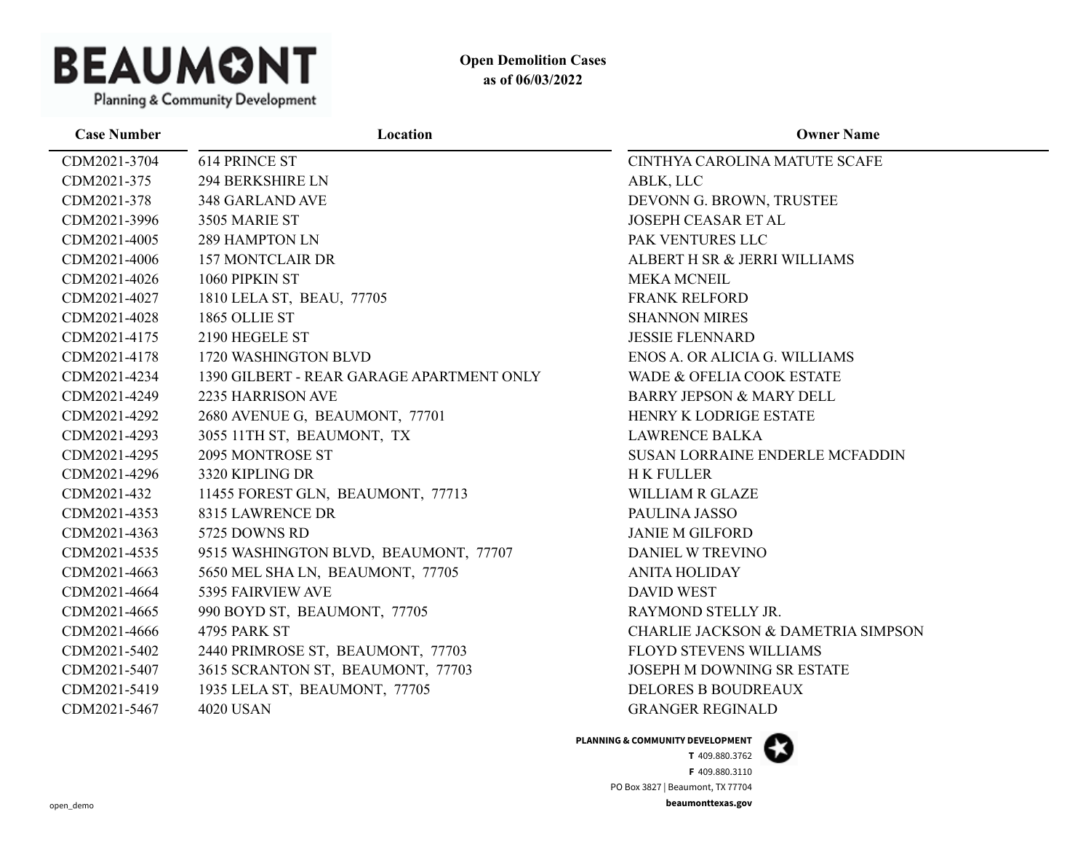

| <b>Case Number</b> | Location                                  | <b>Owner Name</b>                      |
|--------------------|-------------------------------------------|----------------------------------------|
| CDM2021-3704       | <b>614 PRINCE ST</b>                      | CINTHYA CAROLINA MATUTE SCAFE          |
| CDM2021-375        | <b>294 BERKSHIRE LN</b>                   | ABLK, LLC                              |
| CDM2021-378        | 348 GARLAND AVE                           | DEVONN G. BROWN, TRUSTEE               |
| CDM2021-3996       | 3505 MARIE ST                             | <b>JOSEPH CEASAR ET AL</b>             |
| CDM2021-4005       | 289 HAMPTON LN                            | PAK VENTURES LLC                       |
| CDM2021-4006       | <b>157 MONTCLAIR DR</b>                   | ALBERT H SR & JERRI WILLIAMS           |
| CDM2021-4026       | 1060 PIPKIN ST                            | <b>MEKA MCNEIL</b>                     |
| CDM2021-4027       | 1810 LELA ST, BEAU, 77705                 | <b>FRANK RELFORD</b>                   |
| CDM2021-4028       | 1865 OLLIE ST                             | <b>SHANNON MIRES</b>                   |
| CDM2021-4175       | 2190 HEGELE ST                            | <b>JESSIE FLENNARD</b>                 |
| CDM2021-4178       | 1720 WASHINGTON BLVD                      | ENOS A. OR ALICIA G. WILLIAMS          |
| CDM2021-4234       | 1390 GILBERT - REAR GARAGE APARTMENT ONLY | WADE & OFELIA COOK ESTATE              |
| CDM2021-4249       | 2235 HARRISON AVE                         | <b>BARRY JEPSON &amp; MARY DELL</b>    |
| CDM2021-4292       | 2680 AVENUE G, BEAUMONT, 77701            | HENRY K LODRIGE ESTATE                 |
| CDM2021-4293       | 3055 11TH ST, BEAUMONT, TX                | <b>LAWRENCE BALKA</b>                  |
| CDM2021-4295       | 2095 MONTROSE ST                          | <b>SUSAN LORRAINE ENDERLE MCFADDIN</b> |
| CDM2021-4296       | 3320 KIPLING DR                           | <b>HK FULLER</b>                       |
| CDM2021-432        | 11455 FOREST GLN, BEAUMONT, 77713         | <b>WILLIAM R GLAZE</b>                 |
| CDM2021-4353       | 8315 LAWRENCE DR                          | PAULINA JASSO                          |
| CDM2021-4363       | 5725 DOWNS RD                             | <b>JANIE M GILFORD</b>                 |
| CDM2021-4535       | 9515 WASHINGTON BLVD, BEAUMONT, 77707     | DANIEL W TREVINO                       |
| CDM2021-4663       | 5650 MEL SHA LN, BEAUMONT, 77705          | <b>ANITA HOLIDAY</b>                   |
| CDM2021-4664       | 5395 FAIRVIEW AVE                         | <b>DAVID WEST</b>                      |
| CDM2021-4665       | 990 BOYD ST, BEAUMONT, 77705              | RAYMOND STELLY JR.                     |
| CDM2021-4666       | 4795 PARK ST                              | CHARLIE JACKSON & DAMETRIA SIMPSON     |
| CDM2021-5402       | 2440 PRIMROSE ST, BEAUMONT, 77703         | <b>FLOYD STEVENS WILLIAMS</b>          |
| CDM2021-5407       | 3615 SCRANTON ST, BEAUMONT, 77703         | <b>JOSEPH M DOWNING SR ESTATE</b>      |
| CDM2021-5419       | 1935 LELA ST, BEAUMONT, 77705             | <b>DELORES B BOUDREAUX</b>             |
| CDM2021-5467       | <b>4020 USAN</b>                          | <b>GRANGER REGINALD</b>                |

**PLANNING & COMMUNITY DEVELOPMENT**

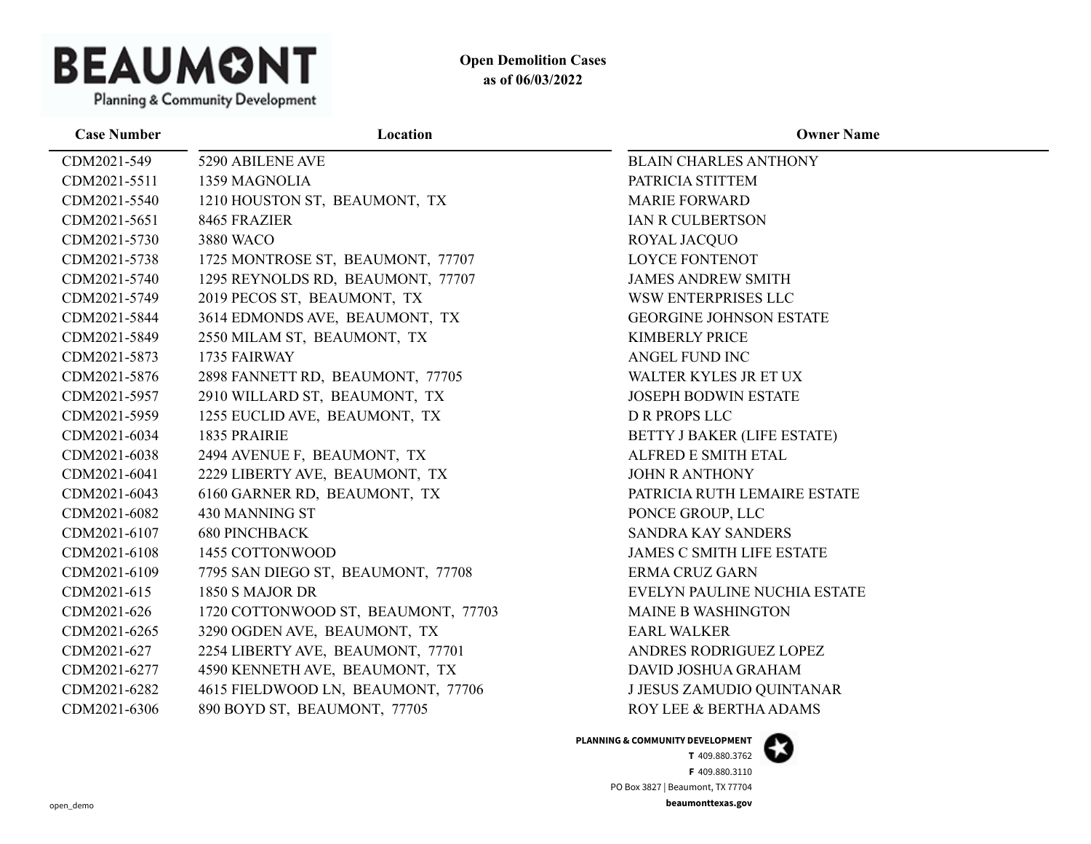

| <b>Case Number</b> | Location                            | <b>Owner Name</b>                |
|--------------------|-------------------------------------|----------------------------------|
| CDM2021-549        | 5290 ABILENE AVE                    | <b>BLAIN CHARLES ANTHONY</b>     |
| CDM2021-5511       | 1359 MAGNOLIA                       | PATRICIA STITTEM                 |
| CDM2021-5540       | 1210 HOUSTON ST, BEAUMONT, TX       | <b>MARIE FORWARD</b>             |
| CDM2021-5651       | 8465 FRAZIER                        | IAN R CULBERTSON                 |
| CDM2021-5730       | 3880 WACO                           | ROYAL JACQUO                     |
| CDM2021-5738       | 1725 MONTROSE ST, BEAUMONT, 77707   | <b>LOYCE FONTENOT</b>            |
| CDM2021-5740       | 1295 REYNOLDS RD, BEAUMONT, 77707   | <b>JAMES ANDREW SMITH</b>        |
| CDM2021-5749       | 2019 PECOS ST, BEAUMONT, TX         | WSW ENTERPRISES LLC              |
| CDM2021-5844       | 3614 EDMONDS AVE, BEAUMONT, TX      | <b>GEORGINE JOHNSON ESTATE</b>   |
| CDM2021-5849       | 2550 MILAM ST, BEAUMONT, TX         | <b>KIMBERLY PRICE</b>            |
| CDM2021-5873       | 1735 FAIRWAY                        | ANGEL FUND INC                   |
| CDM2021-5876       | 2898 FANNETT RD, BEAUMONT, 77705    | WALTER KYLES JR ET UX            |
| CDM2021-5957       | 2910 WILLARD ST, BEAUMONT, TX       | JOSEPH BODWIN ESTATE             |
| CDM2021-5959       | 1255 EUCLID AVE, BEAUMONT, TX       | <b>D R PROPS LLC</b>             |
| CDM2021-6034       | 1835 PRAIRIE                        | BETTY J BAKER (LIFE ESTATE)      |
| CDM2021-6038       | 2494 AVENUE F, BEAUMONT, TX         | ALFRED E SMITH ETAL              |
| CDM2021-6041       | 2229 LIBERTY AVE, BEAUMONT, TX      | <b>JOHN R ANTHONY</b>            |
| CDM2021-6043       | 6160 GARNER RD, BEAUMONT, TX        | PATRICIA RUTH LEMAIRE ESTATE     |
| CDM2021-6082       | 430 MANNING ST                      | PONCE GROUP, LLC                 |
| CDM2021-6107       | <b>680 PINCHBACK</b>                | <b>SANDRA KAY SANDERS</b>        |
| CDM2021-6108       | 1455 COTTONWOOD                     | <b>JAMES C SMITH LIFE ESTATE</b> |
| CDM2021-6109       | 7795 SAN DIEGO ST, BEAUMONT, 77708  | <b>ERMA CRUZ GARN</b>            |
| CDM2021-615        | 1850 S MAJOR DR                     | EVELYN PAULINE NUCHIA ESTATE     |
| CDM2021-626        | 1720 COTTONWOOD ST, BEAUMONT, 77703 | <b>MAINE B WASHINGTON</b>        |
| CDM2021-6265       | 3290 OGDEN AVE, BEAUMONT, TX        | <b>EARL WALKER</b>               |
| CDM2021-627        | 2254 LIBERTY AVE, BEAUMONT, 77701   | ANDRES RODRIGUEZ LOPEZ           |
| CDM2021-6277       | 4590 KENNETH AVE, BEAUMONT, TX      | DAVID JOSHUA GRAHAM              |
| CDM2021-6282       | 4615 FIELDWOOD LN, BEAUMONT, 77706  | J JESUS ZAMUDIO QUINTANAR        |
| CDM2021-6306       | 890 BOYD ST, BEAUMONT, 77705        | ROY LEE & BERTHA ADAMS           |

**PLANNING & COMMUNITY DEVELOPMENT**

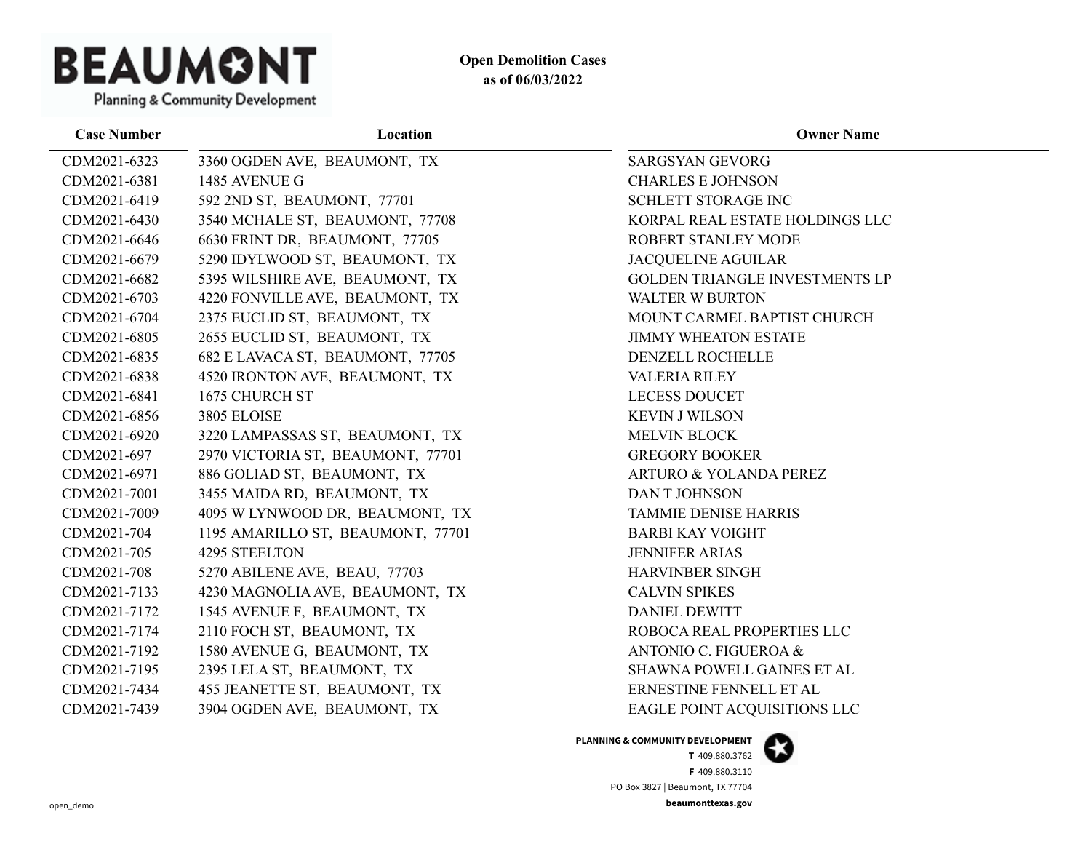

**Case Number Location Owner Name** CDM2021-6323 3360 OGDEN AVE, BEAUMONT, TX SARGSYAN GEVORG CDM2021-6381 1485 AVENUE G CHARLES E JOHNSON CDM2021-6419 592 2ND ST, BEAUMONT, 77701 SCHLETT STORAGE INC CDM2021-6430 3540 MCHALE ST, BEAUMONT, 77708 KORPAL REAL ESTATE HOLDINGS LLC CDM2021-6646 6630 FRINT DR, BEAUMONT, 77705 ROBERT STANLEY MODE CDM2021-6679 5290 IDYLWOOD ST, BEAUMONT, TX JACQUELINE AGUILAR CDM2021-6682 5395 WILSHIRE AVE, BEAUMONT, TX GOLDEN TRIANGLE INVESTMENTS LP CDM2021-6703 4220 FONVILLE AVE, BEAUMONT, TX WALTER W BURTON CDM2021-6704 2375 EUCLID ST, BEAUMONT, TX MOUNT CARMEL BAPTIST CHURCH CDM2021-6805 2655 EUCLID ST, BEAUMONT, TX JIMMY WHEATON ESTATE CDM2021-6835 682 E LAVACA ST, BEAUMONT, 77705 DENZELL ROCHELLE CDM2021-6838 4520 IRONTON AVE, BEAUMONT, TX VALERIA RILEY CDM2021-6841 1675 CHURCH ST LECESS DOUCET CDM2021-6856 3805 ELOISE 3805 ELOISE SUNNAISON KEVIN J WILSON CDM2021-6920 3220 LAMPASSAS ST, BEAUMONT, TX MELVIN BLOCK CDM2021-697 2970 VICTORIA ST, BEAUMONT, 77701 GREGORY BOOKER CDM2021-6971 886 GOLIAD ST, BEAUMONT, TX ARTURO & YOLANDA PEREZ CDM2021-7001 3455 MAIDA RD, BEAUMONT, TX DAN T JOHNSON CDM2021-7009 4095 W LYNWOOD DR, BEAUMONT, TX TAMMIE DENISE HARRIS CDM2021-704 1195 AMARILLO ST, BEAUMONT, 77701 BARBI KAY VOIGHT CDM2021-705 4295 STEELTON JENNIFER ARIAS CDM2021-708 5270 ABILENE AVE, BEAU, 77703 HARVINBER SINGH CDM2021-7133 4230 MAGNOLIA AVE, BEAUMONT, TX CALVIN SPIKES CDM2021-7172 1545 AVENUE F, BEAUMONT, TX DANIEL DEWITT CDM2021-7174 2110 FOCH ST, BEAUMONT, TX ROBOCA REAL PROPERTIES LLC CDM2021-7192 1580 AVENUE G, BEAUMONT, TX ANTONIO C. FIGUEROA & CDM2021-7195 2395 LELA ST, BEAUMONT, TX SHAWNA POWELL GAINES ET AL CDM2021-7434 455 JEANETTE ST, BEAUMONT, TX ERNESTINE FENNELL ET AL CDM2021-7439 3904 OGDEN AVE, BEAUMONT, TX EAGLE POINT ACQUISITIONS LLC

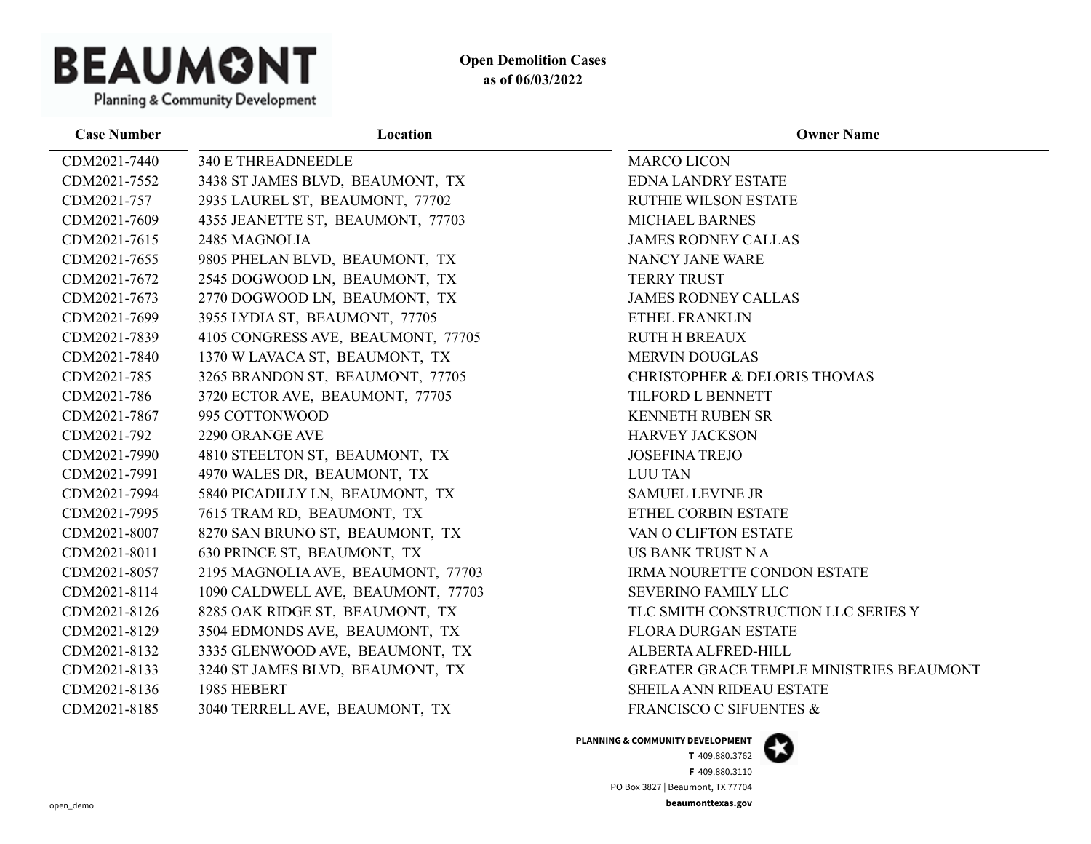

| <b>Case Number</b> | Location                           | <b>Owner Name</b>                        |
|--------------------|------------------------------------|------------------------------------------|
| CDM2021-7440       | <b>340 E THREADNEEDLE</b>          | <b>MARCO LICON</b>                       |
| CDM2021-7552       | 3438 ST JAMES BLVD, BEAUMONT, TX   | <b>EDNA LANDRY ESTATE</b>                |
| CDM2021-757        | 2935 LAUREL ST, BEAUMONT, 77702    | <b>RUTHIE WILSON ESTATE</b>              |
| CDM2021-7609       | 4355 JEANETTE ST, BEAUMONT, 77703  | MICHAEL BARNES                           |
| CDM2021-7615       | 2485 MAGNOLIA                      | <b>JAMES RODNEY CALLAS</b>               |
| CDM2021-7655       | 9805 PHELAN BLVD, BEAUMONT, TX     | NANCY JANE WARE                          |
| CDM2021-7672       | 2545 DOGWOOD LN, BEAUMONT, TX      | <b>TERRY TRUST</b>                       |
| CDM2021-7673       | 2770 DOGWOOD LN, BEAUMONT, TX      | <b>JAMES RODNEY CALLAS</b>               |
| CDM2021-7699       | 3955 LYDIA ST, BEAUMONT, 77705     | ETHEL FRANKLIN                           |
| CDM2021-7839       | 4105 CONGRESS AVE, BEAUMONT, 77705 | <b>RUTH H BREAUX</b>                     |
| CDM2021-7840       | 1370 W LAVACA ST, BEAUMONT, TX     | <b>MERVIN DOUGLAS</b>                    |
| CDM2021-785        | 3265 BRANDON ST, BEAUMONT, 77705   | CHRISTOPHER & DELORIS THOMAS             |
| CDM2021-786        | 3720 ECTOR AVE, BEAUMONT, 77705    | TILFORD L BENNETT                        |
| CDM2021-7867       | 995 COTTONWOOD                     | KENNETH RUBEN SR                         |
| CDM2021-792        | 2290 ORANGE AVE                    | <b>HARVEY JACKSON</b>                    |
| CDM2021-7990       | 4810 STEELTON ST, BEAUMONT, TX     | <b>JOSEFINA TREJO</b>                    |
| CDM2021-7991       | 4970 WALES DR, BEAUMONT, TX        | <b>LUU TAN</b>                           |
| CDM2021-7994       | 5840 PICADILLY LN, BEAUMONT, TX    | <b>SAMUEL LEVINE JR</b>                  |
| CDM2021-7995       | 7615 TRAM RD, BEAUMONT, TX         | ETHEL CORBIN ESTATE                      |
| CDM2021-8007       | 8270 SAN BRUNO ST, BEAUMONT, TX    | VAN O CLIFTON ESTATE                     |
| CDM2021-8011       | 630 PRINCE ST, BEAUMONT, TX        | US BANK TRUST N A                        |
| CDM2021-8057       | 2195 MAGNOLIA AVE, BEAUMONT, 77703 | <b>IRMA NOURETTE CONDON ESTATE</b>       |
| CDM2021-8114       | 1090 CALDWELL AVE, BEAUMONT, 77703 | <b>SEVERINO FAMILY LLC</b>               |
| CDM2021-8126       | 8285 OAK RIDGE ST, BEAUMONT, TX    | TLC SMITH CONSTRUCTION LLC SERIES Y      |
| CDM2021-8129       | 3504 EDMONDS AVE, BEAUMONT, TX     | <b>FLORA DURGAN ESTATE</b>               |
| CDM2021-8132       | 3335 GLENWOOD AVE, BEAUMONT, TX    | ALBERTA ALFRED-HILL                      |
| CDM2021-8133       | 3240 ST JAMES BLVD, BEAUMONT, TX   | GREATER GRACE TEMPLE MINISTRIES BEAUMONT |
| CDM2021-8136       | 1985 HEBERT                        | SHEILA ANN RIDEAU ESTATE                 |
| CDM2021-8185       | 3040 TERRELL AVE, BEAUMONT, TX     | <b>FRANCISCO C SIFUENTES &amp;</b>       |

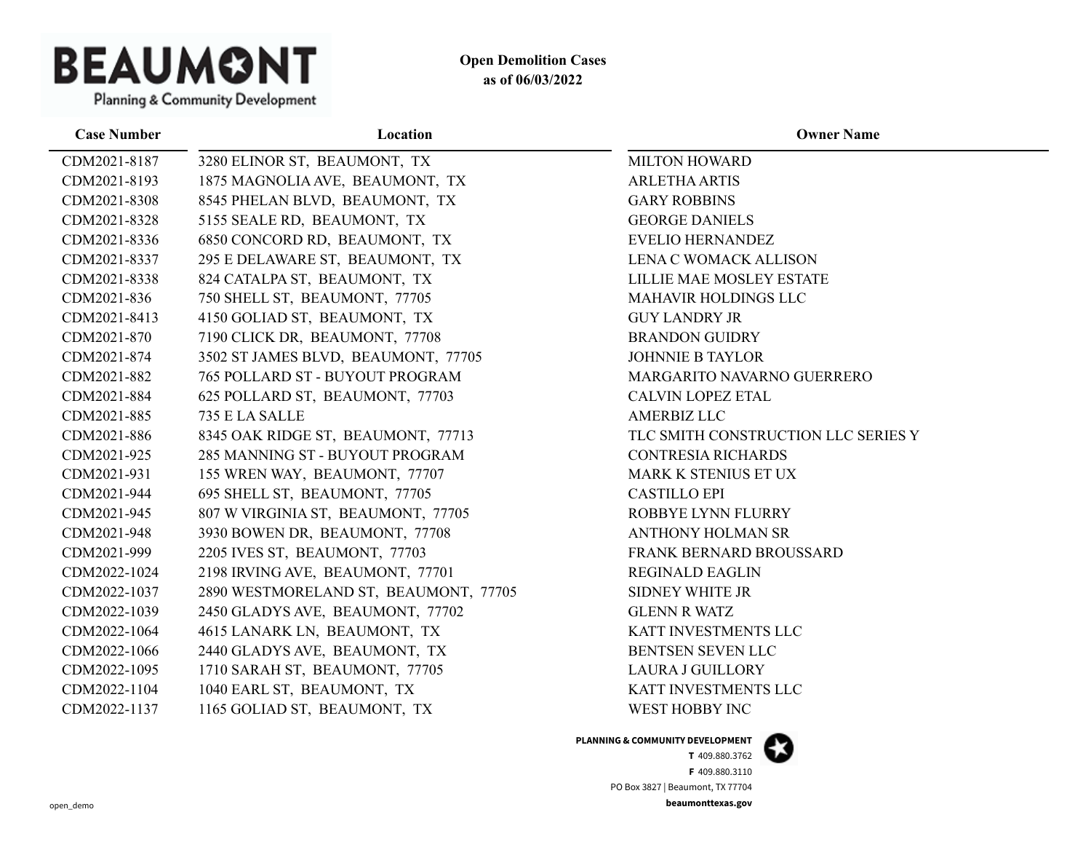

| <b>Case Number</b> | Location                              | <b>Owner Name</b>                   |
|--------------------|---------------------------------------|-------------------------------------|
| CDM2021-8187       | 3280 ELINOR ST, BEAUMONT, TX          | <b>MILTON HOWARD</b>                |
| CDM2021-8193       | 1875 MAGNOLIA AVE, BEAUMONT, TX       | <b>ARLETHA ARTIS</b>                |
| CDM2021-8308       | 8545 PHELAN BLVD, BEAUMONT, TX        | <b>GARY ROBBINS</b>                 |
| CDM2021-8328       | 5155 SEALE RD, BEAUMONT, TX           | <b>GEORGE DANIELS</b>               |
| CDM2021-8336       | 6850 CONCORD RD, BEAUMONT, TX         | EVELIO HERNANDEZ                    |
| CDM2021-8337       | 295 E DELAWARE ST, BEAUMONT, TX       | LENA C WOMACK ALLISON               |
| CDM2021-8338       | 824 CATALPA ST, BEAUMONT, TX          | LILLIE MAE MOSLEY ESTATE            |
| CDM2021-836        | 750 SHELL ST, BEAUMONT, 77705         | <b>MAHAVIR HOLDINGS LLC</b>         |
| CDM2021-8413       | 4150 GOLIAD ST, BEAUMONT, TX          | <b>GUY LANDRY JR</b>                |
| CDM2021-870        | 7190 CLICK DR, BEAUMONT, 77708        | <b>BRANDON GUIDRY</b>               |
| CDM2021-874        | 3502 ST JAMES BLVD, BEAUMONT, 77705   | <b>JOHNNIE B TAYLOR</b>             |
| CDM2021-882        | 765 POLLARD ST - BUYOUT PROGRAM       | MARGARITO NAVARNO GUERRERO          |
| CDM2021-884        | 625 POLLARD ST, BEAUMONT, 77703       | <b>CALVIN LOPEZ ETAL</b>            |
| CDM2021-885        | 735 E LA SALLE                        | <b>AMERBIZ LLC</b>                  |
| CDM2021-886        | 8345 OAK RIDGE ST, BEAUMONT, 77713    | TLC SMITH CONSTRUCTION LLC SERIES Y |
| CDM2021-925        | 285 MANNING ST - BUYOUT PROGRAM       | <b>CONTRESIA RICHARDS</b>           |
| CDM2021-931        | 155 WREN WAY, BEAUMONT, 77707         | MARK K STENIUS ET UX                |
| CDM2021-944        | 695 SHELL ST, BEAUMONT, 77705         | <b>CASTILLO EPI</b>                 |
| CDM2021-945        | 807 W VIRGINIA ST, BEAUMONT, 77705    | ROBBYE LYNN FLURRY                  |
| CDM2021-948        | 3930 BOWEN DR, BEAUMONT, 77708        | <b>ANTHONY HOLMAN SR</b>            |
| CDM2021-999        | 2205 IVES ST, BEAUMONT, 77703         | FRANK BERNARD BROUSSARD             |
| CDM2022-1024       | 2198 IRVING AVE, BEAUMONT, 77701      | <b>REGINALD EAGLIN</b>              |
| CDM2022-1037       | 2890 WESTMORELAND ST, BEAUMONT, 77705 | <b>SIDNEY WHITE JR</b>              |
| CDM2022-1039       | 2450 GLADYS AVE, BEAUMONT, 77702      | <b>GLENN R WATZ</b>                 |
| CDM2022-1064       | 4615 LANARK LN, BEAUMONT, TX          | KATT INVESTMENTS LLC                |
| CDM2022-1066       | 2440 GLADYS AVE, BEAUMONT, TX         | BENTSEN SEVEN LLC                   |
| CDM2022-1095       | 1710 SARAH ST, BEAUMONT, 77705        | <b>LAURA J GUILLORY</b>             |
| CDM2022-1104       | 1040 EARL ST, BEAUMONT, TX            | KATT INVESTMENTS LLC                |
| CDM2022-1137       | 1165 GOLIAD ST, BEAUMONT, TX          | WEST HOBBY INC                      |

#### **PLANNING & COMMUNITY DEVELOPMENT**

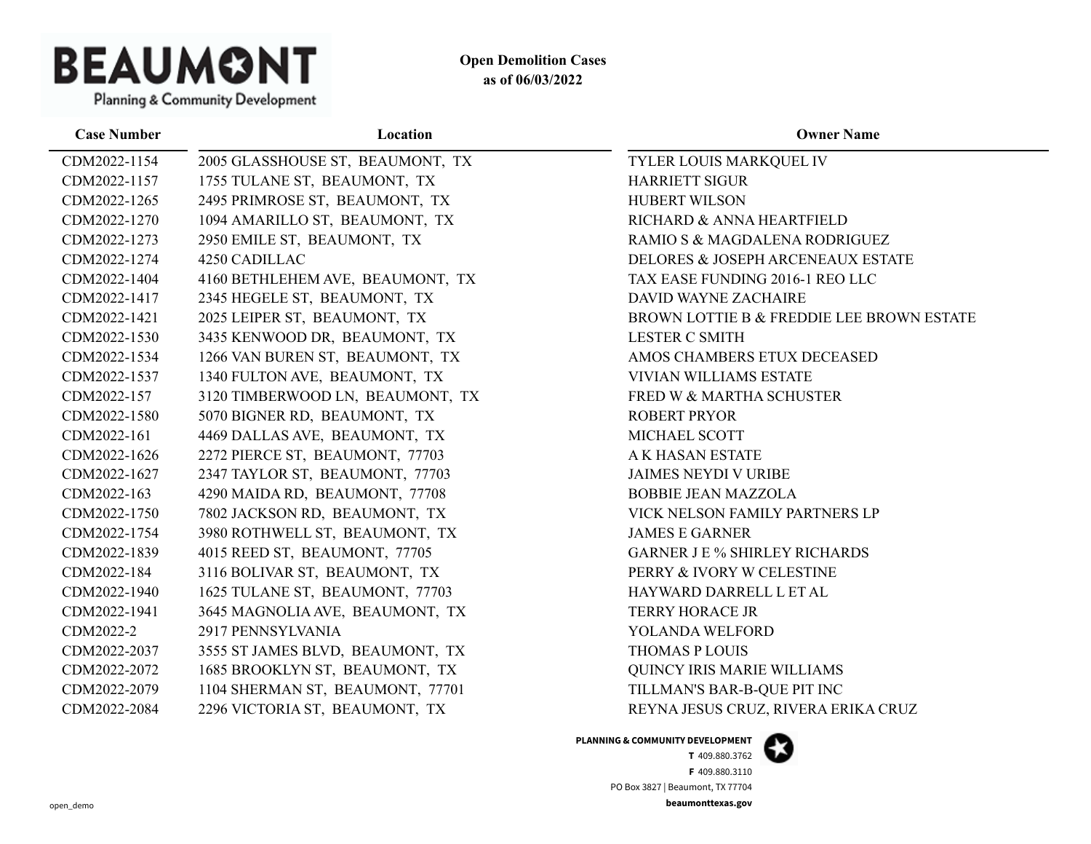

**Case Number Location Owner Name** CDM2022-1154 2005 GLASSHOUSE ST, BEAUMONT, TX TYLER LOUIS MARKQUEL IV CDM2022-1157 1755 TULANE ST, BEAUMONT, TX HARRIETT SIGUR CDM2022-1265 2495 PRIMROSE ST, BEAUMONT, TX HUBERT WILSON CDM2022-1270 1094 AMARILLO ST, BEAUMONT, TX RICHARD & ANNA HEARTFIELD CDM2022-1273 2950 EMILE ST, BEAUMONT, TX RAMIO S & MAGDALENA RODRIGUEZ CDM2022-1274 4250 CADILLAC DELORES & JOSEPH ARCENEAUX ESTATE CDM2022-1404 4160 BETHLEHEM AVE, BEAUMONT, TX TAX EASE FUNDING 2016-1 REO LLC CDM2022-1417 2345 HEGELE ST, BEAUMONT, TX DAVID WAYNE ZACHAIRE CDM2022-1421 2025 LEIPER ST, BEAUMONT, TX BROWN LOTTIE B & FREDDIE LEE BROWN ESTATE CDM2022-1530 3435 KENWOOD DR, BEAUMONT, TX LESTER C SMITH CDM2022-1534 1266 VAN BUREN ST, BEAUMONT, TX AMOS CHAMBERS ETUX DECEASED CDM2022-1537 1340 FULTON AVE, BEAUMONT, TX VIVIAN WILLIAMS ESTATE CDM2022-157 3120 TIMBERWOOD LN, BEAUMONT, TX FRED W & MARTHA SCHUSTER CDM2022-1580 5070 BIGNER RD, BEAUMONT, TX ROBERT PRYOR CDM2022-161 4469 DALLAS AVE, BEAUMONT, TX MICHAEL SCOTT CDM2022-1626 2272 PIERCE ST, BEAUMONT, 77703 A K HASAN ESTATE CDM2022-1627 2347 TAYLOR ST, BEAUMONT, 77703 JAIMES NEYDI V URIBE CDM2022-163 4290 MAIDA RD, BEAUMONT, 77708 BOBBIE JEAN MAZZOLA CDM2022-1750 7802 JACKSON RD, BEAUMONT, TX VICK NELSON FAMILY PARTNERS LP CDM2022-1754 3980 ROTHWELL ST, BEAUMONT, TX JAMES E GARNER CDM2022-1839 4015 REED ST, BEAUMONT, 77705 GARNER J E % SHIRLEY RICHARDS CDM2022-184 3116 BOLIVAR ST, BEAUMONT, TX PERRY & IVORY W CELESTINE CDM2022-1940 1625 TULANE ST, BEAUMONT, 77703 HAYWARD DARRELL L ET AL CDM2022-1941 3645 MAGNOLIA AVE, BEAUMONT, TX TERRY HORACE JR CDM2022-2 2917 PENNSYLVANIA YOLANDA WELFORD CDM2022-2037 3555 ST JAMES BLVD, BEAUMONT, TX THOMAS P LOUIS CDM2022-2072 1685 BROOKLYN ST, BEAUMONT, TX QUINCY IRIS MARIE WILLIAMS CDM2022-2079 1104 SHERMAN ST, BEAUMONT, 77701 TILLMAN'S BAR-B-QUE PIT INC CDM2022-2084 2296 VICTORIA ST, BEAUMONT, TX REYNA JESUS CRUZ, RIVERA ERIKA CRUZ

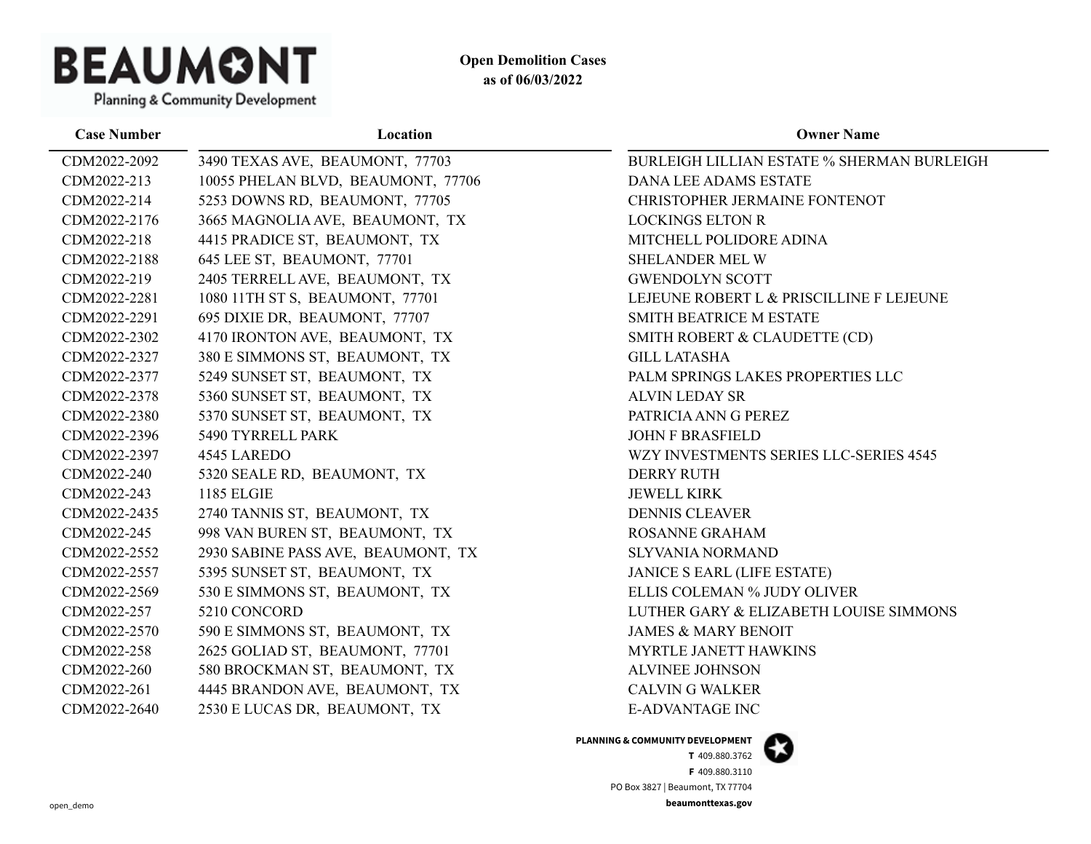

| <b>Case Number</b> | Location                           | <b>Owner Name</b>                                 |
|--------------------|------------------------------------|---------------------------------------------------|
| CDM2022-2092       | 3490 TEXAS AVE, BEAUMONT, 77703    | <b>BURLEIGH LILLIAN ESTATE % SHERMAN BURLEIGH</b> |
| CDM2022-213        | 10055 PHELAN BLVD, BEAUMONT, 77706 | <b>DANA LEE ADAMS ESTATE</b>                      |
| CDM2022-214        | 5253 DOWNS RD, BEAUMONT, 77705     | CHRISTOPHER JERMAINE FONTENOT                     |
| CDM2022-2176       | 3665 MAGNOLIA AVE, BEAUMONT, TX    | <b>LOCKINGS ELTON R</b>                           |
| CDM2022-218        | 4415 PRADICE ST, BEAUMONT, TX      | MITCHELL POLIDORE ADINA                           |
| CDM2022-2188       | 645 LEE ST, BEAUMONT, 77701        | <b>SHELANDER MEL W</b>                            |
| CDM2022-219        | 2405 TERRELL AVE, BEAUMONT, TX     | <b>GWENDOLYN SCOTT</b>                            |
| CDM2022-2281       | 1080 11TH ST S, BEAUMONT, 77701    | LEJEUNE ROBERT L & PRISCILLINE F LEJEUNE          |
| CDM2022-2291       | 695 DIXIE DR, BEAUMONT, 77707      | SMITH BEATRICE M ESTATE                           |
| CDM2022-2302       | 4170 IRONTON AVE, BEAUMONT, TX     | SMITH ROBERT & CLAUDETTE (CD)                     |
| CDM2022-2327       | 380 E SIMMONS ST, BEAUMONT, TX     | <b>GILL LATASHA</b>                               |
| CDM2022-2377       | 5249 SUNSET ST, BEAUMONT, TX       | PALM SPRINGS LAKES PROPERTIES LLC                 |
| CDM2022-2378       | 5360 SUNSET ST, BEAUMONT, TX       | <b>ALVIN LEDAY SR</b>                             |
| CDM2022-2380       | 5370 SUNSET ST, BEAUMONT, TX       | PATRICIA ANN G PEREZ                              |
| CDM2022-2396       | 5490 TYRRELL PARK                  | <b>JOHN F BRASFIELD</b>                           |
| CDM2022-2397       | 4545 LAREDO                        | WZY INVESTMENTS SERIES LLC-SERIES 4545            |
| CDM2022-240        | 5320 SEALE RD, BEAUMONT, TX        | <b>DERRY RUTH</b>                                 |
| CDM2022-243        | <b>1185 ELGIE</b>                  | <b>JEWELL KIRK</b>                                |
| CDM2022-2435       | 2740 TANNIS ST, BEAUMONT, TX       | <b>DENNIS CLEAVER</b>                             |
| CDM2022-245        | 998 VAN BUREN ST, BEAUMONT, TX     | ROSANNE GRAHAM                                    |
| CDM2022-2552       | 2930 SABINE PASS AVE, BEAUMONT, TX | <b>SLYVANIA NORMAND</b>                           |
| CDM2022-2557       | 5395 SUNSET ST, BEAUMONT, TX       | <b>JANICE S EARL (LIFE ESTATE)</b>                |
| CDM2022-2569       | 530 E SIMMONS ST, BEAUMONT, TX     | ELLIS COLEMAN % JUDY OLIVER                       |
| CDM2022-257        | 5210 CONCORD                       | LUTHER GARY & ELIZABETH LOUISE SIMMONS            |
| CDM2022-2570       | 590 E SIMMONS ST, BEAUMONT, TX     | <b>JAMES &amp; MARY BENOIT</b>                    |
| CDM2022-258        | 2625 GOLIAD ST, BEAUMONT, 77701    | MYRTLE JANETT HAWKINS                             |
| CDM2022-260        | 580 BROCKMAN ST, BEAUMONT, TX      | <b>ALVINEE JOHNSON</b>                            |
| CDM2022-261        | 4445 BRANDON AVE, BEAUMONT, TX     | <b>CALVIN G WALKER</b>                            |
| CDM2022-2640       | 2530 E LUCAS DR, BEAUMONT, TX      | <b>E-ADVANTAGE INC</b>                            |
|                    |                                    |                                                   |

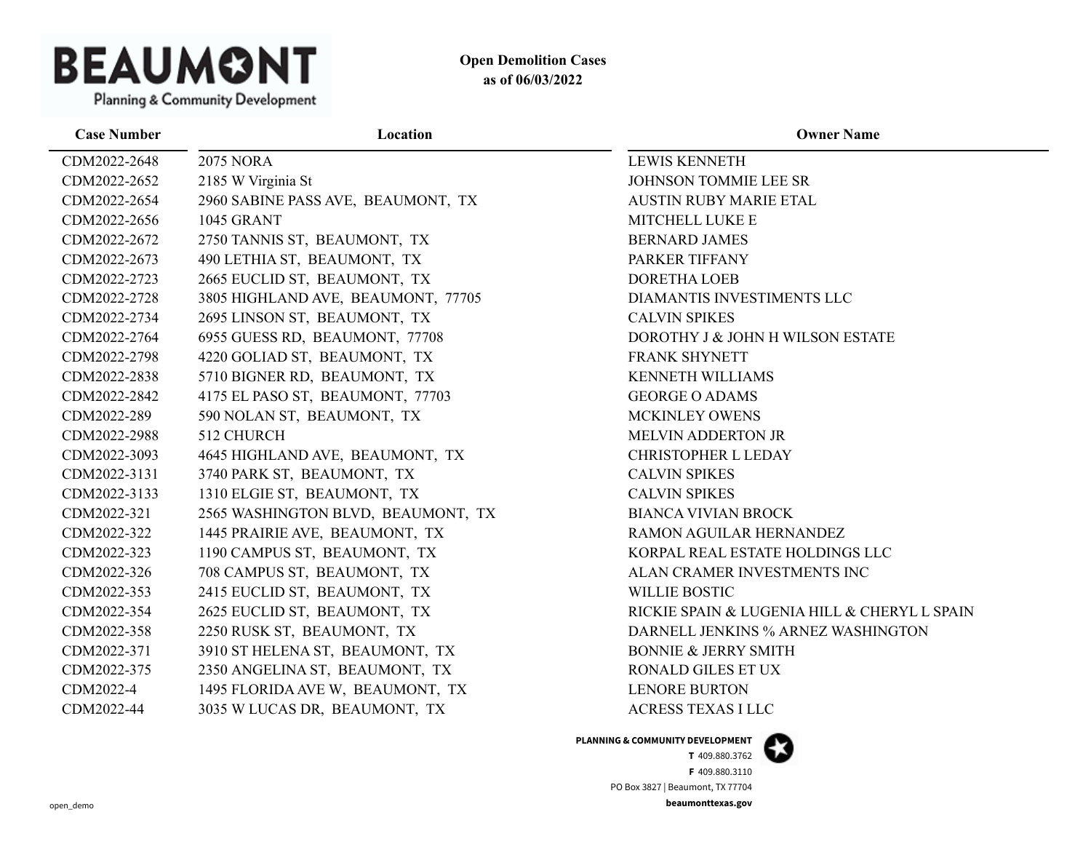

| <b>Case Number</b> | Location                           | <b>Owner Name</b>                            |
|--------------------|------------------------------------|----------------------------------------------|
| CDM2022-2648       | <b>2075 NORA</b>                   | <b>LEWIS KENNETH</b>                         |
| CDM2022-2652       | 2185 W Virginia St                 | JOHNSON TOMMIE LEE SR                        |
| CDM2022-2654       | 2960 SABINE PASS AVE, BEAUMONT, TX | <b>AUSTIN RUBY MARIE ETAL</b>                |
| CDM2022-2656       | <b>1045 GRANT</b>                  | MITCHELL LUKE E                              |
| CDM2022-2672       | 2750 TANNIS ST, BEAUMONT, TX       | <b>BERNARD JAMES</b>                         |
| CDM2022-2673       | 490 LETHIA ST, BEAUMONT, TX        | PARKER TIFFANY                               |
| CDM2022-2723       | 2665 EUCLID ST, BEAUMONT, TX       | <b>DORETHA LOEB</b>                          |
| CDM2022-2728       | 3805 HIGHLAND AVE, BEAUMONT, 77705 | DIAMANTIS INVESTIMENTS LLC                   |
| CDM2022-2734       | 2695 LINSON ST, BEAUMONT, TX       | <b>CALVIN SPIKES</b>                         |
| CDM2022-2764       | 6955 GUESS RD, BEAUMONT, 77708     | DOROTHY J & JOHN H WILSON ESTATE             |
| CDM2022-2798       | 4220 GOLIAD ST, BEAUMONT, TX       | FRANK SHYNETT                                |
| CDM2022-2838       | 5710 BIGNER RD, BEAUMONT, TX       | <b>KENNETH WILLIAMS</b>                      |
| CDM2022-2842       | 4175 EL PASO ST, BEAUMONT, 77703   | <b>GEORGE O ADAMS</b>                        |
| CDM2022-289        | 590 NOLAN ST, BEAUMONT, TX         | MCKINLEY OWENS                               |
| CDM2022-2988       | 512 CHURCH                         | <b>MELVIN ADDERTON JR</b>                    |
| CDM2022-3093       | 4645 HIGHLAND AVE, BEAUMONT, TX    | <b>CHRISTOPHER L LEDAY</b>                   |
| CDM2022-3131       | 3740 PARK ST, BEAUMONT, TX         | <b>CALVIN SPIKES</b>                         |
| CDM2022-3133       | 1310 ELGIE ST, BEAUMONT, TX        | <b>CALVIN SPIKES</b>                         |
| CDM2022-321        | 2565 WASHINGTON BLVD, BEAUMONT, TX | <b>BIANCA VIVIAN BROCK</b>                   |
| CDM2022-322        | 1445 PRAIRIE AVE, BEAUMONT, TX     | RAMON AGUILAR HERNANDEZ                      |
| CDM2022-323        | 1190 CAMPUS ST, BEAUMONT, TX       | KORPAL REAL ESTATE HOLDINGS LLC              |
| CDM2022-326        | 708 CAMPUS ST, BEAUMONT, TX        | ALAN CRAMER INVESTMENTS INC                  |
| CDM2022-353        | 2415 EUCLID ST, BEAUMONT, TX       | <b>WILLIE BOSTIC</b>                         |
| CDM2022-354        | 2625 EUCLID ST, BEAUMONT, TX       | RICKIE SPAIN & LUGENIA HILL & CHERYL L SPAIN |
| CDM2022-358        | 2250 RUSK ST, BEAUMONT, TX         | DARNELL JENKINS % ARNEZ WASHINGTON           |
| CDM2022-371        | 3910 ST HELENA ST, BEAUMONT, TX    | <b>BONNIE &amp; JERRY SMITH</b>              |
| CDM2022-375        | 2350 ANGELINA ST, BEAUMONT, TX     | RONALD GILES ET UX                           |
| CDM2022-4          | 1495 FLORIDA AVE W, BEAUMONT, TX   | <b>LENORE BURTON</b>                         |
| CDM2022-44         | 3035 W LUCAS DR, BEAUMONT, TX      | <b>ACRESS TEXAS I LLC</b>                    |

**PLANNING & COMMUNITY DEVELOPMENT**

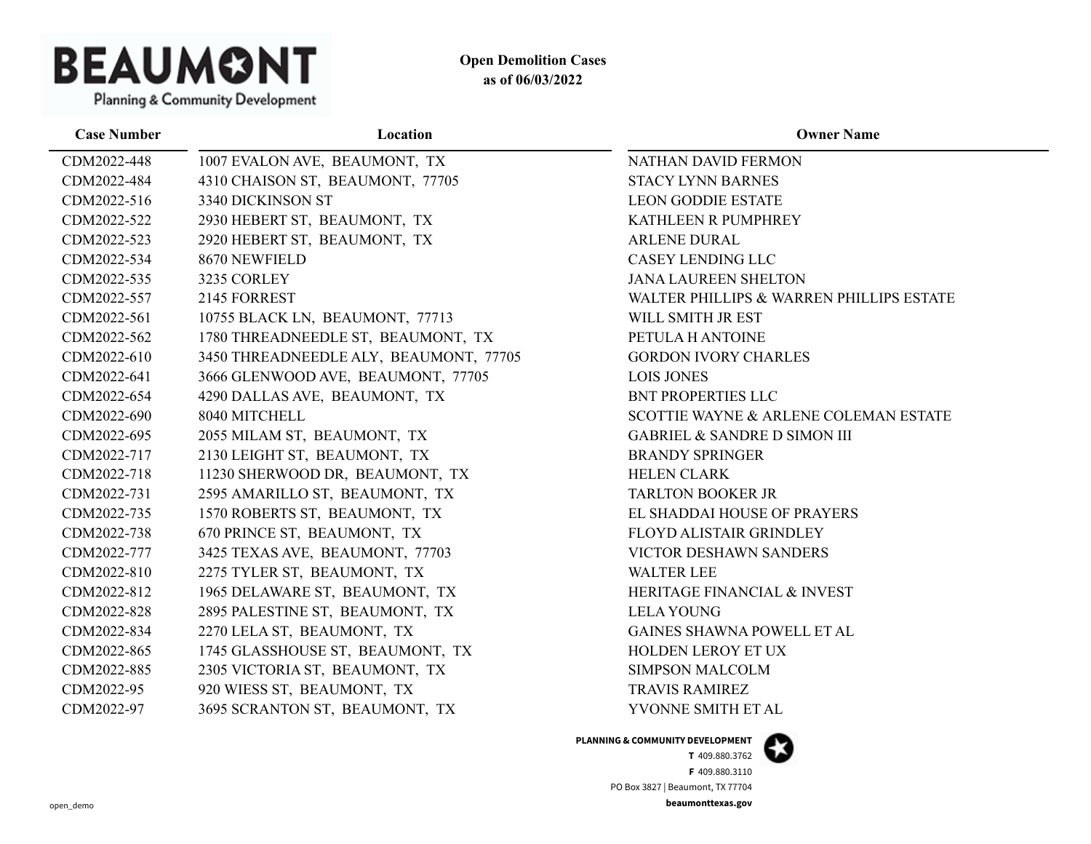

**Case Number Location Owner Name** CDM2022-448 1007 EVALON AVE, BEAUMONT, TX NATHAN DAVID FERMON CDM2022-484 4310 CHAISON ST, BEAUMONT, 77705 STACY LYNN BARNES CDM2022-516 3340 DICKINSON ST LEON GODDIE ESTATE CDM2022-522 2930 HEBERT ST, BEAUMONT, TX KATHLEEN R PUMPHREY CDM2022-523 2920 HEBERT ST, BEAUMONT, TX ARLENE DURAL CDM2022-534 8670 NEWFIELD CASEY LENDING LLC CDM2022-535 3235 CORLEY JANA LAUREEN SHELTON CDM2022-557 2145 FORREST WALTER PHILLIPS & WARREN PHILLIPS ESTATE CDM2022-561 10755 BLACK LN, BEAUMONT, 77713 WILL SMITH JR EST CDM2022-562 1780 THREADNEEDLE ST, BEAUMONT, TX PETULA H ANTOINE CDM2022-610 3450 THREADNEEDLE ALY, BEAUMONT, 77705 GORDON IVORY CHARLES CDM2022-641 3666 GLENWOOD AVE, BEAUMONT, 77705 LOIS JONES CDM2022-654 4290 DALLAS AVE, BEAUMONT, TX BNT PROPERTIES LLC CDM2022-690 8040 MITCHELL SCOTTIE WAYNE & ARLENE COLEMAN ESTATE CDM2022-695 2055 MILAM ST, BEAUMONT, TX GABRIEL & SANDRE D SIMON III CDM2022-717 2130 LEIGHT ST, BEAUMONT, TX BRANDY SPRINGER CDM2022-718 11230 SHERWOOD DR, BEAUMONT, TX HELEN CLARK CDM2022-731 2595 AMARILLO ST, BEAUMONT, TX TARLTON BOOKER JR CDM2022-735 1570 ROBERTS ST, BEAUMONT, TX EL SHADDAI HOUSE OF PRAYERS CDM2022-738 670 PRINCE ST, BEAUMONT, TX FLOYD ALISTAIR GRINDLEY CDM2022-777 3425 TEXAS AVE, BEAUMONT, 77703 VICTOR DESHAWN SANDERS CDM2022-810 2275 TYLER ST, BEAUMONT, TX WALTER LEE CDM2022-812 1965 DELAWARE ST, BEAUMONT, TX HERITAGE FINANCIAL & INVEST CDM2022-828 2895 PALESTINE ST, BEAUMONT, TX LELA YOUNG CDM2022-834 2270 LELA ST, BEAUMONT, TX GAINES SHAWNA POWELL ET AL CDM2022-865 1745 GLASSHOUSE ST, BEAUMONT, TX HOLDEN LEROY ET UX CDM2022-885 2305 VICTORIA ST, BEAUMONT, TX SIMPSON MALCOLM CDM2022-95 920 WIESS ST, BEAUMONT, TX TRAVIS RAMIREZ CDM2022-97 3695 SCRANTON ST, BEAUMONT, TX YVONNE SMITH ET AL

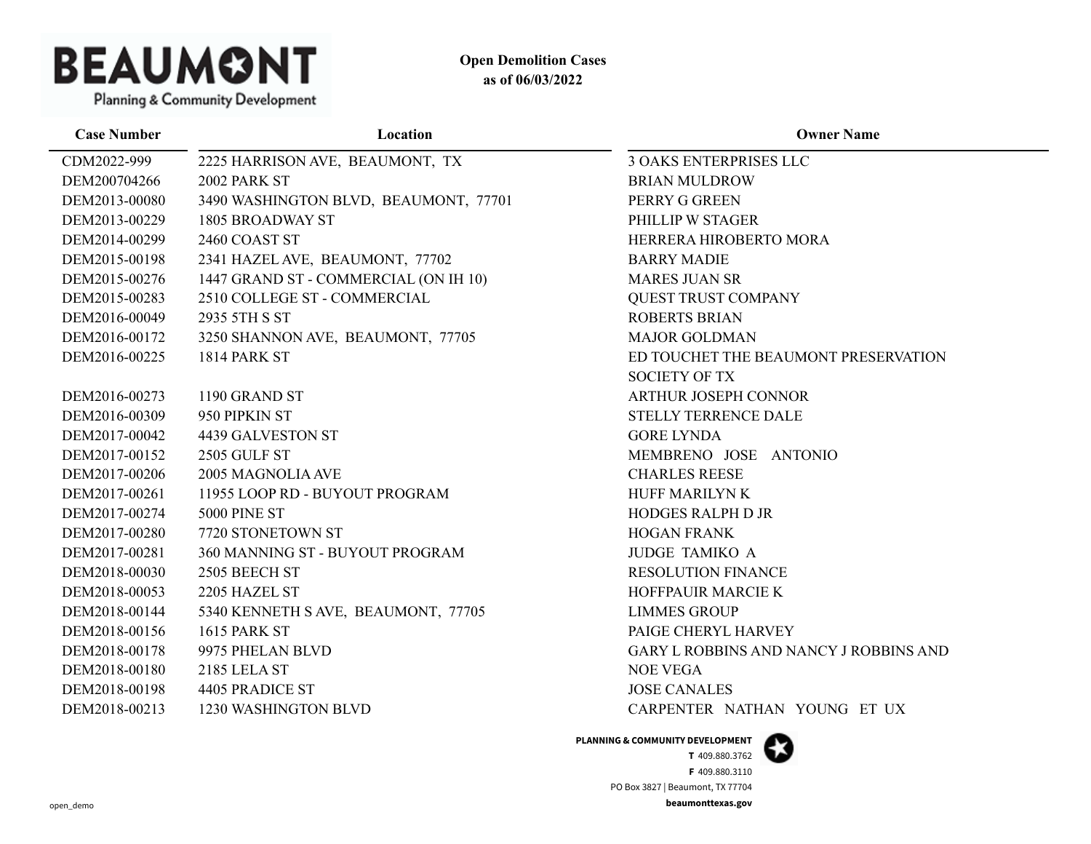

Planning & Community Development

| <b>Case Number</b> | Location                              | <b>Owner Name</b>                      |
|--------------------|---------------------------------------|----------------------------------------|
| CDM2022-999        | 2225 HARRISON AVE, BEAUMONT, TX       | <b>3 OAKS ENTERPRISES LLC</b>          |
| DEM200704266       | 2002 PARK ST                          | <b>BRIAN MULDROW</b>                   |
| DEM2013-00080      | 3490 WASHINGTON BLVD, BEAUMONT, 77701 | PERRY G GREEN                          |
| DEM2013-00229      | 1805 BROADWAY ST                      | PHILLIP W STAGER                       |
| DEM2014-00299      | 2460 COAST ST                         | HERRERA HIROBERTO MORA                 |
| DEM2015-00198      | 2341 HAZEL AVE, BEAUMONT, 77702       | <b>BARRY MADIE</b>                     |
| DEM2015-00276      | 1447 GRAND ST - COMMERCIAL (ON IH 10) | <b>MARES JUAN SR</b>                   |
| DEM2015-00283      | 2510 COLLEGE ST - COMMERCIAL          | <b>QUEST TRUST COMPANY</b>             |
| DEM2016-00049      | 2935 5TH S ST                         | <b>ROBERTS BRIAN</b>                   |
| DEM2016-00172      | 3250 SHANNON AVE, BEAUMONT, 77705     | <b>MAJOR GOLDMAN</b>                   |
| DEM2016-00225      | 1814 PARK ST                          | ED TOUCHET THE BEAUMONT PRESERVATION   |
|                    |                                       | <b>SOCIETY OF TX</b>                   |
| DEM2016-00273      | 1190 GRAND ST                         | ARTHUR JOSEPH CONNOR                   |
| DEM2016-00309      | 950 PIPKIN ST                         | STELLY TERRENCE DALE                   |
| DEM2017-00042      | 4439 GALVESTON ST                     | <b>GORE LYNDA</b>                      |
| DEM2017-00152      | <b>2505 GULF ST</b>                   | MEMBRENO JOSE ANTONIO                  |
| DEM2017-00206      | 2005 MAGNOLIA AVE                     | <b>CHARLES REESE</b>                   |
| DEM2017-00261      | 11955 LOOP RD - BUYOUT PROGRAM        | HUFF MARILYN K                         |
| DEM2017-00274      | <b>5000 PINE ST</b>                   | <b>HODGES RALPH D JR</b>               |
| DEM2017-00280      | 7720 STONETOWN ST                     | <b>HOGAN FRANK</b>                     |
| DEM2017-00281      | 360 MANNING ST - BUYOUT PROGRAM       | <b>JUDGE TAMIKO A</b>                  |
| DEM2018-00030      | 2505 BEECH ST                         | <b>RESOLUTION FINANCE</b>              |
| DEM2018-00053      | 2205 HAZEL ST                         | HOFFPAUIR MARCIE K                     |
| DEM2018-00144      | 5340 KENNETH S AVE, BEAUMONT, 77705   | <b>LIMMES GROUP</b>                    |
| DEM2018-00156      | <b>1615 PARK ST</b>                   | PAIGE CHERYL HARVEY                    |
| DEM2018-00178      | 9975 PHELAN BLVD                      | GARY L ROBBINS AND NANCY J ROBBINS AND |
| DEM2018-00180      | <b>2185 LELA ST</b>                   | <b>NOE VEGA</b>                        |
| DEM2018-00198      | 4405 PRADICE ST                       | <b>JOSE CANALES</b>                    |
| DEM2018-00213      | 1230 WASHINGTON BLVD                  | CARPENTER NATHAN YOUNG ET UX           |
|                    |                                       |                                        |

**PLANNING & COMMUNITY DEVELOPMENT**